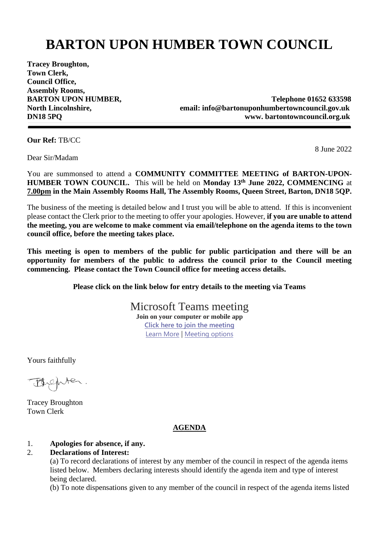## **BARTON UPON HUMBER TOWN COUNCIL**

**Tracey Broughton, Town Clerk, Council Office, Assembly Rooms,** 

**BARTON UPON HUMBER,** Telephone 01652 633598 **North Lincolnshire, email: info@bartonuponhumbertowncouncil.gov.uk DN18 5PQ www. [bartontowncouncil.](http://www.barton-upon-humber.org.uk/bartontowncouncil)org.uk**

**Our Ref:** TB/CC

Dear Sir/Madam

8 June 2022

You are summonsed to attend a **COMMUNITY COMMITTEE MEETING of BARTON-UPON-HUMBER TOWN COUNCIL.** This will be held on **Monday 13 th June 2022, COMMENCING** at **7.00pm in the Main Assembly Rooms Hall, The Assembly Rooms, Queen Street, Barton, DN18 5QP.**

The business of the meeting is detailed below and I trust you will be able to attend. If this is inconvenient please contact the Clerk prior to the meeting to offer your apologies. However, **if you are unable to attend the meeting, you are welcome to make comment via email/telephone on the agenda items to the town council office, before the meeting takes place.**

**This meeting is open to members of the public for public participation and there will be an opportunity for members of the public to address the council prior to the Council meeting commencing. Please contact the Town Council office for meeting access details.** 

**Please click on the link below for entry details to the meeting via Teams**

Microsoft Teams meeting **Join on your computer or mobile app [Click here to join the meeting](https://teams.microsoft.com/l/meetup-join/19%3a4943027f1b7e4df58ed77a2138a50445%40thread.tacv2/1654598881985?context=%7b%22Tid%22%3a%22044d0e21-a81f-463a-b369-a8db7b6dab46%22%2c%22Oid%22%3a%227d1af9aa-2513-4d38-a2d5-69d3aa501c5b%22%7d)** [Learn More](https://aka.ms/JoinTeamsMeeting) | [Meeting options](https://teams.microsoft.com/meetingOptions/?organizerId=7d1af9aa-2513-4d38-a2d5-69d3aa501c5b&tenantId=044d0e21-a81f-463a-b369-a8db7b6dab46&threadId=19_4943027f1b7e4df58ed77a2138a50445@thread.tacv2&messageId=1654598881985&language=en-US)

Yours faithfully

Fuchter.

Tracey Broughton Town Clerk

## **AGENDA**

## 1. **Apologies for absence, if any.**

## 2. **Declarations of Interest:**

(a) To record declarations of interest by any member of the council in respect of the agenda items listed below.Members declaring interests should identify the agenda item and type of interest being declared.

(b) To note dispensations given to any member of the council in respect of the agenda items listed